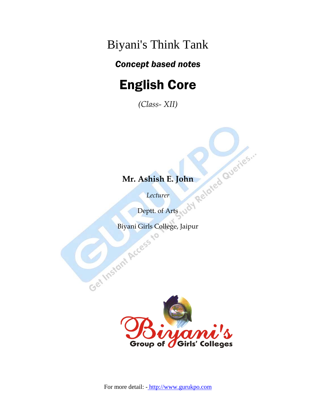Biyani's Think Tank

### *Concept based notes*

# English Core

*(Class- XII)*

## **Mr. Ashish E. John**

*Lecturer* 

Deptt. of Arts

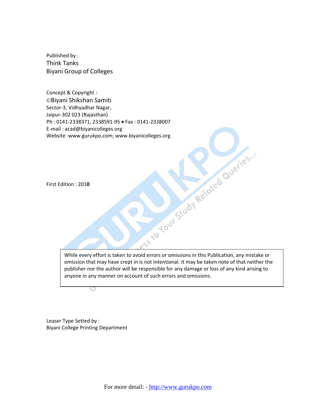Published by : Think Tanks Biyani Group of Colleges

Concept & Copyright : ©Biyani Shikshan Samiti Sector‐3, Vidhyadhar Nagar, Jaipur‐302 023 (Rajasthan) Ph : 0141‐2338371, 2338591‐95 • Fax : 0141‐2338007 E‐mail : acad@biyanicolleges.org

First Edition : 201**0**

Website :www.gurukpo.com; www.biyanicolleges.org<br>First Edition : 2010<br>Prince : 2010 While every effort is taken to avoid errors or omissions in this Publication, any mistake or omission that may have crept in is not intentional. It may be taken note of that neither the publisher nor the author will be responsible for any damage or loss of any kind arising to anyone in any manner on account of such errors and omissions.

Leaser Type Setted by : Biyani College Printing Department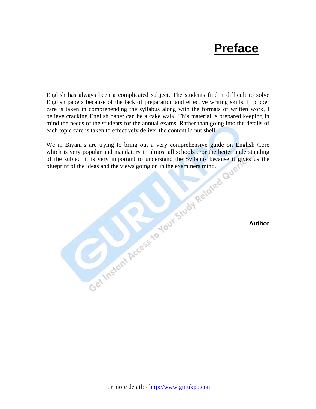# **Preface**

English has always been a complicated subject. The students find it difficult to solve English papers because of the lack of preparation and effective writing skills. If proper care is taken in comprehending the syllabus along with the formats of written work, I believe cracking English paper can be a cake walk. This material is prepared keeping in mind the needs of the students for the annual exams. Rather than going into the details of each topic care is taken to effectively deliver the content in nut shell.

We in Biyani's are trying to bring out a very comprehensive guide on English Core<br>which is very popular and mandatory in almost all schools. For the better understanding<br>of the subject it is very important to understand th which is very popular and mandatory in almost all schools . For the better understanding of the subject it is very important to understand the Syllabus because it gives us the blueprint of the ideas and the views going on in the examiners mind.

**Author**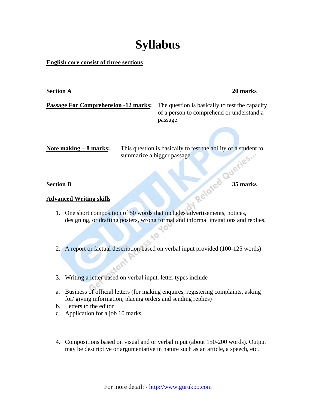# **Syllabus**

#### **English core consist of three sections**

#### **Section A 20 marks**

**Passage For Comprehension -12 marks:** The question is basically to test the capacity of a person to comprehend or understand a passage

Note making – 8 marks: This question is basically to test the ability of a student to summarize a bigger passage. **Section B**<br>**Advanced Writing skills Specially Supplementary of the Section B** 

#### **Advanced Writing skills**

1. One short composition of 50 words that includes advertisements, notices, designing, or drafting posters, wrong formal and informal invitations and replies.

2. A report or factual description based on verbal input provided (100-125 words)

 $\sim$ 

- 3. Writing a letter based on verbal input. letter types include
- a. Business of official letters (for making enquires, registering complaints, asking for/ giving information, placing orders and sending replies)
- b. Letters to the editor
- c. Application for a job 10 marks
- 4. Compositions based on visual and or verbal input (about 150-200 words). Output may be descriptive or argumentative in nature such as an article, a speech, etc.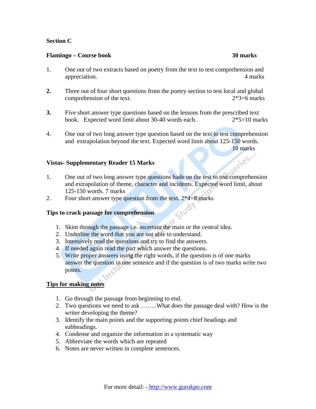#### **Section C**

#### **Flamingo – Course book 30 marks**

- 1. One out of two extracts based on poetry from the text to test comprehension and appreciation. 4 marks
- **2.** Three out of four short questions from the poetry section to test local and global comprehension of the text. 2\*3=6 marks
- **3.** Five short answer type questions based on the lessons from the prescribed text book. Expected word limit about 30-40 words each. 2\*5=10 marks
- 4. One out of two long answer type question based on the text to test comprehension and extrapolation beyond the text. Expected word limit about 125-150 words.

10 marks

#### **Vistas- Supplementary Reader 15 Marks**

- 1. One out of two long answer type questions bade on the test to test comprehension and extrapolation of theme, character and incidents. Expected word limit, about 125-150 words. 7 marks
- 2. Four short answer type question from the text. 2\*4=8 marks Study

#### **Tips to crack passage for comprehension**

- 1. Skim through the passage i.e. ascertain the main or the central idea.
- 2. Underline the word that you are not able to understand.
- 3. Intensively read the questions and try to find the answers.
- 4. If needed again read the part which answer the questions.
- 5. Write proper answers using the right words, if the question is of one marks answer the question in one sentence and if the question is of two marks write two points.

#### **Tips for making notes**

- 1. Go through the passage from beginning to end.
- 2. Two questions we need to ask ……..What does the passage deal with? How is the writer developing the theme?
- 3. Identify the main points and the supporting points chief headings and subheadings.
- 4. Condense and organize the information in a systematic way
- 5. Abbreviate the words which are repeated
- 6. Notes are never written in complete sentences.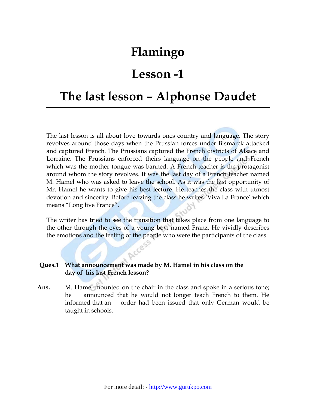## **Flamingo**

## **Lesson -1**

## **The last lesson – Alphonse Daudet**

The last lesson is all about love towards ones country and language. The story revolves around those days when the Prussian forces under Bismarck attacked and captured French. The Prussians captured the French districts of Alsace and Lorraine. The Prussians enforced theirs language on the people and French which was the mother tongue was banned. A French teacher is the protagonist around whom the story revolves. It was the last day of a French teacher named M. Hamel who was asked to leave the school. As it was the last opportunity of Mr. Hamel he wants to give his best lecture .He teaches the class with utmost devotion and sincerity .Before leaving the class he writes 'Viva La France' which means "Long live France".

The writer has tried to see the transition that takes place from one language to the other through the eyes of a young boy, named Franz. He vividly describes the emotions and the feeling of the people who were the participants of the class.

#### **Ques.1 What announcement was made by M. Hamel in his class on the day of his last French lesson?**

CCESS

Ans. M. Hamel mounted on the chair in the class and spoke in a serious tone; he announced that he would not longer teach French to them. He informed that an order had been issued that only German would be taught in schools.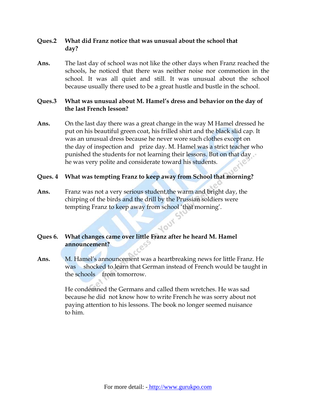### **Ques.2 What did Franz notice that was unusual about the school that day?**

**Ans.** The last day of school was not like the other days when Franz reached the schools, he noticed that there was neither noise nor commotion in the school. It was all quiet and still. It was unusual about the school because usually there used to be a great hustle and bustle in the school.

#### **Ques.3 What was unusual about M. Hamel's dress and behavior on the day of the last French lesson?**

**Ans.** On the last day there was a great change in the way M Hamel dressed he put on his beautiful green coat, his frilled shirt and the black slid cap. It was an unusual dress because he never wore such clothes except on the day of inspection and prize day. M. Hamel was a strict teacher who punished the students for not learning their lessons. But on that day he was very polite and considerate toward his students.

#### **Ques. 4 What was tempting Franz to keep away from School that morning?**

**Ans.** Franz was not a very serious student,the warm and bright day, the chirping of the birds and the drill by the Prussian soldiers were tempting Franz to keep away from school 'that morning'.

### **10UT Ques 6. What changes came over little Franz after he heard M. Hamel announcement?**

**Ans.** M. Hamel's announcement was a heartbreaking news for little Franz. He was shocked to learn that German instead of French would be taught in the schools from tomorrow.

> He condemned the Germans and called them wretches. He was sad because he did not know how to write French he was sorry about not paying attention to his lessons. The book no longer seemed nuisance to him.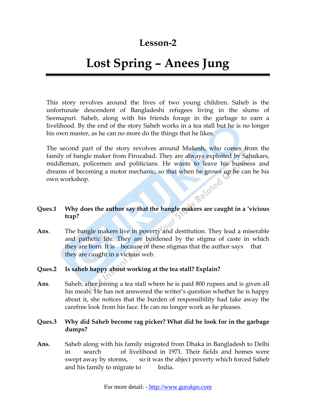### **Lesson-2**

# **Lost Spring – Anees Jung**

This story revolves around the lives of two young children. Saheb is the unfortunate descendent of Bangladeshi refugees living in the slums of Seemapuri. Saheb, along with his friends forage in the garbage to earn a livelihood. By the end of the story Saheb works in a tea stall but he is no longer his own master, as he can no more do the things that he likes.

The second part of the story revolves around Mukesh, who comes from the family of bangle maker from Firozabad. They are always exploited by Sahukars, middleman, policemen and politicians. He wants to leave his business and dreams of becoming a motor mechanic, so that when he grows up he can be his own workshop. own workshop.

### **Ques.1 Why does the author say that the bangle makers are caught in a 'vicious trap?**

- **Ans**. The bangle makers live in poverty and destitution. They lead a miserable and pathetic life. They are burdened by the stigma of caste in which they are born. It is because of these stigmas that the author says that they are caught in a vicious web.
- **Ques.2 Is saheb happy about working at the tea stall? Explain?**
- **Ans**. Saheb, after joining a tea stall where he is paid 800 rupees and is given all his meals. He has not answered the writer's question whether he is happy about it, she notices that the burden of responsibility had take away the carefree look from his face. He can no longer work as he pleases.

#### **Ques.3 Why did Saheb become rag picker? What did he look for in the garbage dumps?**

**Ans.** Saheb along with his family migrated from Dhaka in Bangladesh to Delhi in search of livelihood in 1971. Their fields and homes were swept away by storms, so it was the abject poverty which forced Saheb and his family to migrate to India.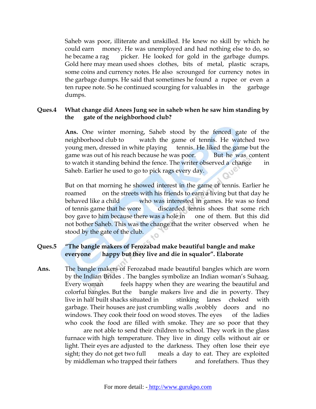Saheb was poor, illiterate and unskilled. He knew no skill by which he could earn money. He was unemployed and had nothing else to do, so he became a rag picker. He looked for gold in the garbage dumps. Gold here may mean used shoes clothes, bits of metal, plastic scraps, some coins and currency notes. He also scrounged for currency notes in the garbage dumps. He said that sometimes he found a rupee or even a ten rupee note. So he continued scourging for valuables in the garbage dumps.

#### **Ques.4 What change did Anees Jung see in saheb when he saw him standing by the gate of the neighborhood club?**

**Ans.** One winter morning, Saheb stood by the fenced gate of the neighborhood club to watch the game of tennis. He watched two young men, dressed in white playing tennis. He liked the game but the game was out of his reach because he was poor. But he was content to watch it standing behind the fence. The writer observed a change in Saheb. Earlier he used to go to pick rags every day.

But on that morning he showed interest in the game of tennis. Earlier he roamed on the streets with his friends to earn a living but that day he behaved like a child who was interested in games. He was so fond of tennis game that he wore discarded tennis shoes that some rich boy gave to him because there was a hole in one of them. But this did not bother Saheb. This was the change that the writer observed when he stood by the gate of the club.

### **Ques.5 "The bangle makers of Ferozabad make beautiful bangle and make everyone happy but they live and die in squalor". Elaborate**

**Ans.** The bangle makers of Ferozabad made beautiful bangles which are worn by the Indian Brides . The bangles symbolize an Indian woman's Suhaag. Every woman feels happy when they are wearing the beautiful and colorful bangles. But the bangle makers live and die in poverty. They live in half built shacks situated in stinking lanes choked with garbage. Their houses are just crumbling walls ,wobbly doors and no windows. They cook their food on wood stoves. The eyes of the ladies who cook the food are filled with smoke. They are so poor that they

 are not able to send their children to school. They work in the glass furnace with high temperature. They live in dingy cells without air or light. Their eyes are adjusted to the darkness. They often lose their eye sight; they do not get two full meals a day to eat. They are exploited by middleman who trapped their fathers and forefathers. Thus they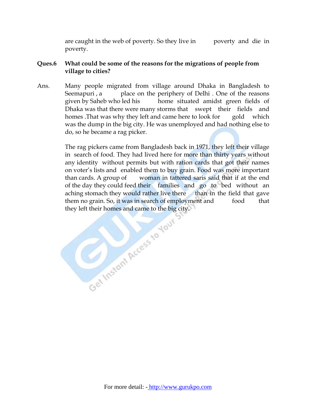are caught in the web of poverty. So they live in poverty and die in poverty.

### **Ques.6 What could be some of the reasons for the migrations of people from village to cities?**

Ans. Many people migrated from village around Dhaka in Bangladesh to Seemapuri, a place on the periphery of Delhi. One of the reasons given by Saheb who led his home situated amidst green fields of Dhaka was that there were many storms that swept their fields and homes .That was why they left and came here to look for gold which was the dump in the big city. He was unemployed and had nothing else to do, so he became a rag picker.

> The rag pickers came from Bangladesh back in 1971, they left their village in search of food. They had lived here for more than thirty years without any identity without permits but with ration cards that got their names on voter's lists and enabled them to buy grain. Food was more important than cards. A group of woman in tattered saris said that if at the end of the day they could feed their families and go to bed without an aching stomach they would rather live there than in the field that gave them no grain. So, it was in search of employment and food that they left their homes and came to the big city.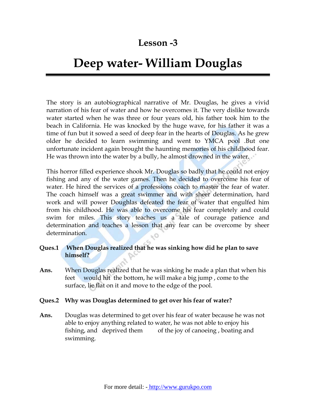### **Lesson -3**

# **Deep water- William Douglas**

The story is an autobiographical narrative of Mr. Douglas, he gives a vivid narration of his fear of water and how he overcomes it. The very dislike towards water started when he was three or four years old, his father took him to the beach in California. He was knocked by the huge wave, for his father it was a time of fun but it sowed a seed of deep fear in the hearts of Douglas. As he grew older he decided to learn swimming and went to YMCA pool .But one unfortunate incident again brought the haunting memories of his childhood fear. He was thrown into the water by a bully, he almost drowned in the water.

This horror filled experience shook Mr. Douglas so badly that he could not enjoy fishing and any of the water games. Then he decided to overcome his fear of water. He hired the services of a professions coach to master the fear of water. The coach himself was a great swimmer and with sheer determination, hard work and will power Doughlas defeated the fear of water that engulfed him from his childhood. He was able to overcome his fear completely and could swim for miles. This story teaches us a tale of courage patience and determination and teaches a lesson that any fear can be overcome by sheer determination.

#### **Ques.1 When Douglas realized that he was sinking how did he plan to save himself?**

**Ans.** When Douglas realized that he was sinking he made a plan that when his feet would hit the bottom, he will make a big jump , come to the surface, lie flat on it and move to the edge of the pool.

#### **Ques.2 Why was Douglas determined to get over his fear of water?**

**Ans.** Douglas was determined to get over his fear of water because he was not able to enjoy anything related to water, he was not able to enjoy his fishing, and deprived them of the joy of canoeing , boating and swimming.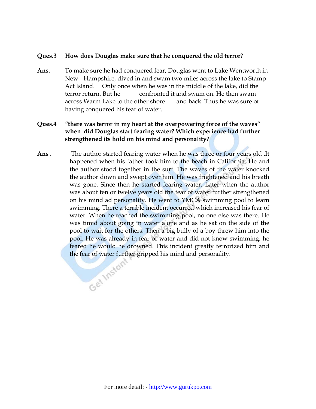#### **Ques.3 How does Douglas make sure that he conquered the old terror?**

**Ans.** To make sure he had conquered fear, Douglas went to Lake Wentworth in New Hampshire, dived in and swam two miles across the lake to Stamp Act Island. Only once when he was in the middle of the lake, did the terror return. But he confronted it and swam on. He then swam across Warm Lake to the other shore and back. Thus he was sure of having conquered his fear of water.

### **Ques.4 "there was terror in my heart at the overpowering force of the waves" when did Douglas start fearing water? Which experience had further strengthened its hold on his mind and personality?**

**Ans .** The author started fearing water when he was three or four years old .It happened when his father took him to the beach in California. He and the author stood together in the surf. The waves of the water knocked the author down and swept over him. He was frightened and his breath was gone. Since then he started fearing water. Later when the author was about ten or twelve years old the fear of water further strengthened on his mind ad personality. He went to YMCA swimming pool to learn swimming. There a terrible incident occurred which increased his fear of water. When he reached the swimming pool, no one else was there. He was timid about going in water alone and as he sat on the side of the pool to wait for the others. Then a big bully of a boy threw him into the pool. He was already in fear of water and did not know swimming, he feared he would he drowned. This incident greatly terrorized him and the fear of water further gripped his mind and personality.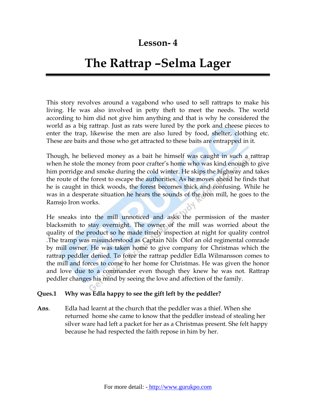### **Lesson- 4**

# **The Rattrap –Selma Lager**

This story revolves around a vagabond who used to sell rattraps to make his living. He was also involved in petty theft to meet the needs. The world according to him did not give him anything and that is why he considered the world as a big rattrap. Just as rats were lured by the pork and cheese pieces to enter the trap, likewise the men are also lured by food, shelter, clothing etc. These are baits and those who get attracted to these baits are entrapped in it.

Though, he believed money as a bait he himself was caught in such a rattrap when he stole the money from poor crafter's home who was kind enough to give him porridge and smoke during the cold winter. He skips the highway and takes the route of the forest to escape the authorities. As he moves ahead he finds that he is caught in thick woods, the forest becomes thick and confusing. While he was in a desperate situation he hears the sounds of the iron mill, he goes to the Ramsjo Iron works.

He sneaks into the mill unnoticed and asks the permission of the master blacksmith to stay overnight. The owner of the mill was worried about the quality of the product so he made timely inspection at night for quality control .The tramp was misunderstood as Captain Nils Olof an old regimental comrade by mill owner. He was taken home to give company for Christmas which the rattrap peddler denied. To force the rattrap peddler Edla Wilmansson comes to the mill and forces to come to her home for Christmas. He was given the honor and love due to a commander even though they knew he was not. Rattrap peddler changes his mind by seeing the love and affection of the family.

#### **Ques.1 Why was Edla happy to see the gift left by the peddler?**

**Ans**. Edla had learnt at the church that the peddler was a thief. When she returned home she came to know that the peddler instead of stealing her silver ware had left a packet for her as a Christmas present. She felt happy because he had respected the faith repose in him by her.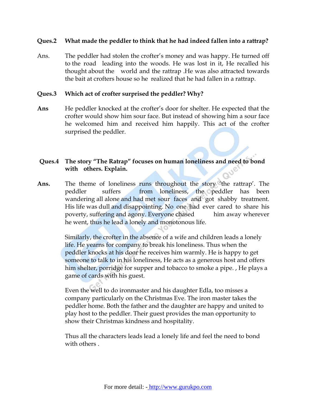#### **Ques.2 What made the peddler to think that he had indeed fallen into a rattrap?**

Ans. The peddler had stolen the crofter's money and was happy. He turned off to the road leading into the woods. He was lost in it, He recalled his thought about the world and the rattrap .He was also attracted towards the bait at crofters house so he realized that he had fallen in a rattrap.

#### **Ques.3 Which act of crofter surprised the peddler? Why?**

**Ans** He peddler knocked at the crofter's door for shelter. He expected that the crofter would show him sour face. But instead of showing him a sour face he welcomed him and received him happily. This act of the crofter surprised the peddler.

### **Ques.4 The story "The Ratrap" focuses on human loneliness and need to bond with others. Explain.**

**Ans.** The theme of loneliness runs throughout the story 'the rattrap'. The peddler suffers from loneliness, the peddler has been wandering all alone and had met sour faces and got shabby treatment. His life was dull and disappointing. No one had ever cared to share his poverty, suffering and agony. Everyone chased him away wherever he went, thus he lead a lonely and monotonous life.

> Similarly, the crofter in the absence of a wife and children leads a lonely life. He yearns for company to break his loneliness. Thus when the peddler knocks at his door he receives him warmly. He is happy to get someone to talk to in his loneliness, He acts as a generous host and offers him shelter, porridge for supper and tobacco to smoke a pipe. , He plays a game of cards with his guest.

Even the well to do ironmaster and his daughter Edla, too misses a company particularly on the Christmas Eve. The iron master takes the peddler home. Both the father and the daughter are happy and united to play host to the peddler. Their guest provides the man opportunity to show their Christmas kindness and hospitality.

Thus all the characters leads lead a lonely life and feel the need to bond with others .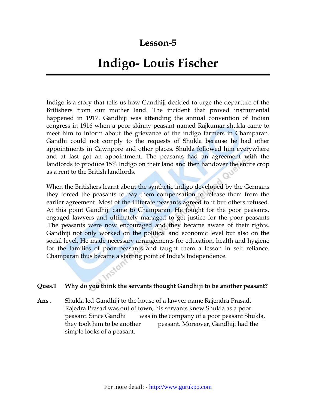### **Lesson-5**

# **Indigo- Louis Fischer**

Indigo is a story that tells us how Gandhiji decided to urge the departure of the Britishers from our mother land. The incident that proved instrumental happened in 1917. Gandhiji was attending the annual convention of Indian congress in 1916 when a poor skinny peasant named Rajkumar shukla came to meet him to inform about the grievance of the indigo farmers in Champaran. Gandhi could not comply to the requests of Shukla because he had other appointments in Cawnpore and other places. Shukla followed him everywhere and at last got an appointment. The peasants had an agreement with the landlords to produce 15% Indigo on their land and then handover the entire crop as a rent to the British landlords.

When the Britishers learnt about the synthetic indigo developed by the Germans they forced the peasants to pay them compensation to release them from the earlier agreement. Most of the illiterate peasants agreed to it but others refused. At this point Gandhiji came to Champaran. He fought for the poor peasants, engaged lawyers and ultimately managed to get justice for the poor peasants .The peasants were now encouraged and they became aware of their rights. Gandhiji not only worked on the political and economic level but also on the social level. He made necessary arrangements for education, health and hygiene for the families of poor peasants and taught them a lesson in self reliance. Champaran thus became a starting point of India's Independence.

#### **Ques.1 Why do you think the servants thought Gandhiji to be another peasant?**

**Ans .** Shukla led Gandhiji to the house of a lawyer name Rajendra Prasad. Rajedra Prasad was out of town, his servants knew Shukla as a poor peasant. Since Gandhi was in the company of a poor peasant Shukla, they took him to be another peasant. Moreover, Gandhiji had the simple looks of a peasant.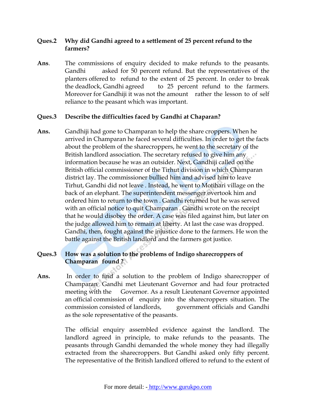#### **Ques.2 Why did Gandhi agreed to a settlement of 25 percent refund to the farmers?**

**Ans**. The commissions of enquiry decided to make refunds to the peasants. Gandhi asked for 50 percent refund. But the representatives of the planters offered to refund to the extent of 25 percent. In order to break the deadlock, Gandhi agreed to 25 percent refund to the farmers. Moreover for Gandhiji it was not the amount rather the lesson to of self reliance to the peasant which was important.

### **Ques.3 Describe the difficulties faced by Gandhi at Chaparan?**

**Ans.** Gandhiji had gone to Champaran to help the share croppers. When he arrived in Champaran he faced several difficulties. In order to get the facts about the problem of the sharecroppers, he went to the secretary of the British landlord association. The secretary refused to give him any information because he was an outsider. Next, Gandhiji called on the British official commissioner of the Tirhut division in which Champaran district lay. The commissioner bullied him and advised him to leave Tirhut, Gandhi did not leave . Instead, he went to Motihari village on the back of an elephant. The superintendent messenger overtook him and ordered him to return to the town . Gandhi returned but he was served with an official notice to quit Champaran . Gandhi wrote on the receipt that he would disobey the order. A case was filed against him, but later on the judge allowed him to remain at liberty. At last the case was dropped. Gandhi, then, fought against the injustice done to the farmers. He won the battle against the British landlord and the farmers got justice.

### **Ques.3 How was a solution to the problems of Indigo sharecroppers of Champaran found ?**

**Ans.** In order to find a solution to the problem of Indigo sharecropper of Champaran Gandhi met Lieutenant Governor and had four protracted meeting with the Governor. As a result Lieutenant Governor appointed an official commission of enquiry into the sharecroppers situation. The commission consisted of landlords, government officials and Gandhi as the sole representative of the peasants.

> The official enquiry assembled evidence against the landlord. The landlord agreed in principle, to make refunds to the peasants. The peasants through Gandhi demanded the whole money they had illegally extracted from the sharecroppers. But Gandhi asked only fifty percent. The representative of the British landlord offered to refund to the extent of